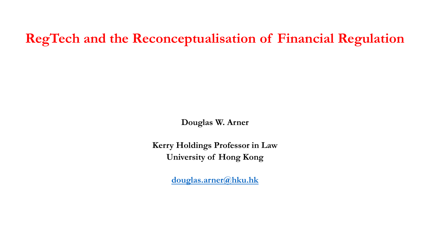### **RegTech and the Reconceptualisation of Financial Regulation**

**Douglas W. Arner**

**Kerry Holdings Professor in Law University of Hong Kong**

**[douglas.arner@hku.hk](mailto:Douglas.arner@hku.hk)**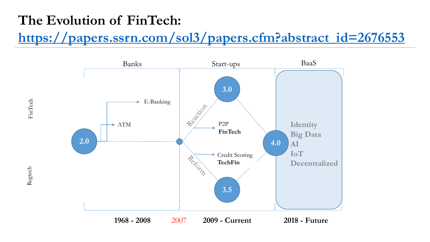### **The Evolution of FinTech:**

### **[https://papers.ssrn.com/sol3/papers.cfm?abstract\\_id=2676553](https://papers.ssrn.com/sol3/papers.cfm?abstract_id=2676553)**

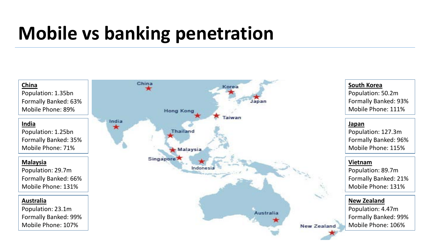# **Mobile vs banking penetration**



#### **South Korea**

Population: 50.2m Formally Banked: 93% Mobile Phone: 111%

#### **Japan**

Population: 127.3m Formally Banked: 96% Mobile Phone: 115%

#### **Vietnam**

Population: 89.7m Formally Banked: 21% Mobile Phone: 131%

#### **New Zealand**

Population: 4.47m Formally Banked: 99% Mobile Phone: 106%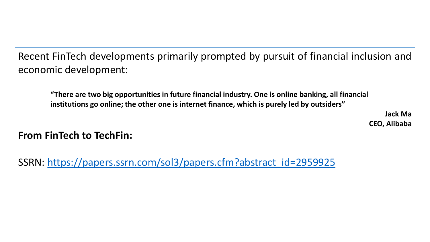Recent FinTech developments primarily prompted by pursuit of financial inclusion and economic development:

**"There are two big opportunities in future financial industry. One is online banking, all financial institutions go online; the other one is internet finance, which is purely led by outsiders"**

> **Jack Ma CEO, Alibaba**

**From FinTech to TechFin:**

SSRN: [https://papers.ssrn.com/sol3/papers.cfm?abstract\\_id=2959925](https://papers.ssrn.com/sol3/papers.cfm?abstract_id=2959925)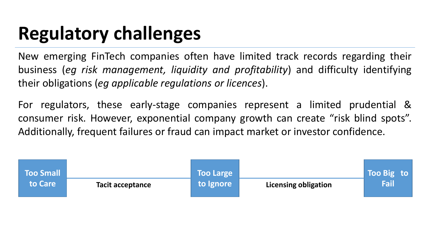# **Regulatory challenges**

New emerging FinTech companies often have limited track records regarding their business (*eg risk management, liquidity and profitability*) and difficulty identifying their obligations (*eg applicable regulations or licences*).

For regulators, these early-stage companies represent a limited prudential & consumer risk. However, exponential company growth can create "risk blind spots". Additionally, frequent failures or fraud can impact market or investor confidence.

| <b>Too Small</b> |                  | <b>Too Large</b> |                             | Too Big to |
|------------------|------------------|------------------|-----------------------------|------------|
| <b>to Care</b>   | Tacit acceptance | to Ignore        | <b>Licensing obligation</b> | Fail       |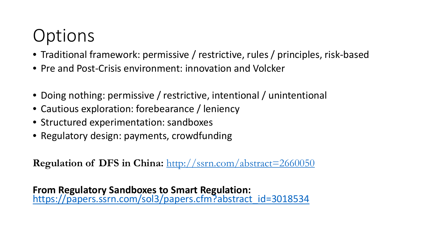# **Options**

- Traditional framework: permissive / restrictive, rules / principles, risk-based
- Pre and Post-Crisis environment: innovation and Volcker
- Doing nothing: permissive / restrictive, intentional / unintentional
- Cautious exploration: forebearance / leniency
- Structured experimentation: sandboxes
- Regulatory design: payments, crowdfunding

**Regulation of DFS in China:** <http://ssrn.com/abstract=2660050>

**From Regulatory Sandboxes to Smart Regulation:** [https://papers.ssrn.com/sol3/papers.cfm?abstract\\_id=3018534](https://papers.ssrn.com/sol3/papers.cfm?abstract_id=3018534)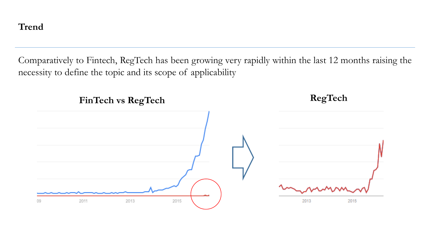#### **Trend**

Comparatively to Fintech, RegTech has been growing very rapidly within the last 12 months raising the necessity to define the topic and its scope of applicability

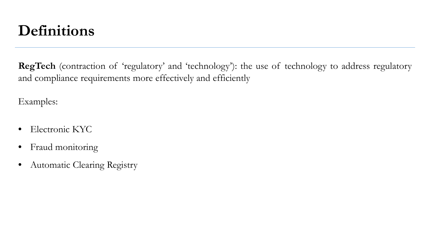### **Definitions**

**RegTech** (contraction of 'regulatory' and 'technology'): the use of technology to address regulatory and compliance requirements more effectively and efficiently

Examples:

- Electronic KYC
- Fraud monitoring
- Automatic Clearing Registry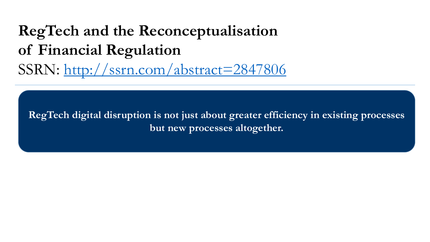# **RegTech and the Reconceptualisation of Financial Regulation** SSRN:<http://ssrn.com/abstract=2847806>

**RegTech digital disruption is not just about greater efficiency in existing processes but new processes altogether.**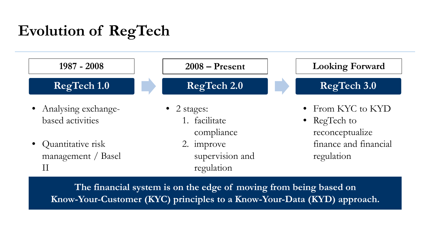### **Evolution of RegTech**



**The financial system is on the edge of moving from being based on Know-Your-Customer (KYC) principles to a Know-Your-Data (KYD) approach.**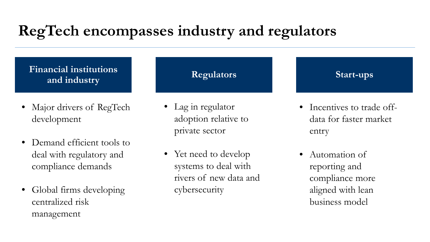## **RegTech encompasses industry and regulators**

**Financial institutions**  and industry

- Major drivers of RegTech development
- Demand efficient tools to deal with regulatory and compliance demands
- Global firms developing centralized risk management

• Lag in regulator adoption relative to private sector

#### **Start-ups**

• Incentives to trade offdata for faster market entry

• Yet need to develop systems to deal with rivers of new data and cybersecurity

• Automation of reporting and compliance more aligned with lean business model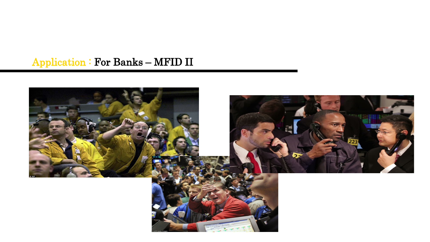### Application : For Banks – MFID II

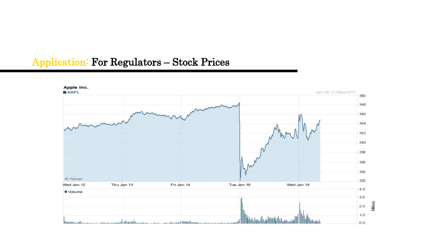#### Application: For Regulators – Stock Prices

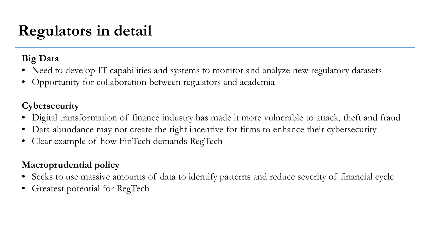## **Regulators in detail**

#### **Big Data**

- Need to develop IT capabilities and systems to monitor and analyze new regulatory datasets
- Opportunity for collaboration between regulators and academia

#### **Cybersecurity**

- Digital transformation of finance industry has made it more vulnerable to attack, theft and fraud
- Data abundance may not create the right incentive for firms to enhance their cybersecurity
- Clear example of how FinTech demands RegTech

#### **Macroprudential policy**

- Seeks to use massive amounts of data to identify patterns and reduce severity of financial cycle
- Greatest potential for RegTech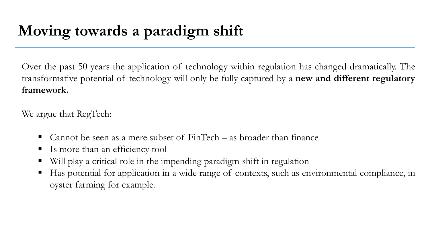### **Moving towards a paradigm shift**

Over the past 50 years the application of technology within regulation has changed dramatically. The transformative potential of technology will only be fully captured by a **new and different regulatory framework.**

We argue that RegTech:

- Cannot be seen as a mere subset of FinTech as broader than finance
- Is more than an efficiency tool
- Will play a critical role in the impending paradigm shift in regulation
- Has potential for application in a wide range of contexts, such as environmental compliance, in oyster farming for example.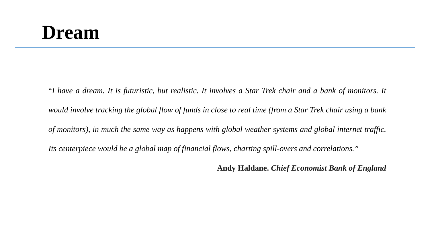# **Dream**

"I have a dream. It is futuristic, but realistic. It involves a Star Trek chair and a bank of monitors. It would involve tracking the global flow of funds in close to real time (from a Star Trek chair using a bank *of monitors), in much the same way as happens with global weather systems and global internet traffic. Its centerpiece would be a global map of financial flows, charting spill-overs and correlations."*

**Andy Haldane.** *Chief Economist Bank of England*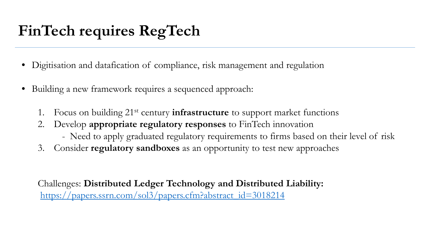# **FinTech requires RegTech**

- Digitisation and datafication of compliance, risk management and regulation
- Building a new framework requires a sequenced approach:
	- 1. Focus on building 21st century **infrastructure** to support market functions
	- 2. Develop **appropriate regulatory responses** to FinTech innovation
		- Need to apply graduated regulatory requirements to firms based on their level of risk
	- 3. Consider **regulatory sandboxes** as an opportunity to test new approaches

Challenges: **Distributed Ledger Technology and Distributed Liability:** [https://papers.ssrn.com/sol3/papers.cfm?abstract\\_id=3018214](https://papers.ssrn.com/sol3/papers.cfm?abstract_id=3018214)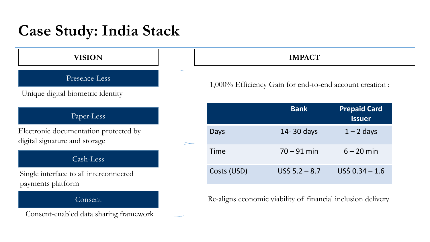### **Case Study: India Stack**

#### Presence-Less

Unique digital biometric identity

#### Paper-Less

Electronic documentation protected by digital signature and storage

#### Cash-Less

Single interface to all interconnected payments platform

#### Consent

Consent-enabled data sharing framework

#### **VISION IMPACT**

1,000% Efficiency Gain for end-to-end account creation :

|             | <b>Bank</b>     | <b>Prepaid Card</b><br><b>Issuer</b> |
|-------------|-----------------|--------------------------------------|
| Days        | 14-30 days      | $1 - 2$ days                         |
| Time        | $70 - 91$ min   | $6 - 20$ min                         |
| Costs (USD) | $US5 5.2 - 8.7$ | $US5 0.34 - 1.6$                     |

Re-aligns economic viability of financial inclusion delivery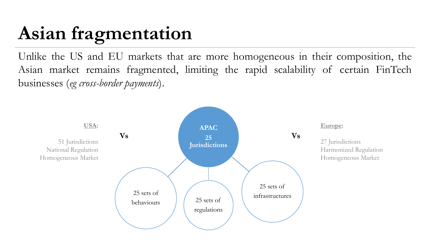# **Asian fragmentation**

Unlike the US and EU markets that are more homogeneous in their composition, the Asian market remains fragmented, limiting the rapid scalability of certain FinTech businesses (*eg cross-border payments*).

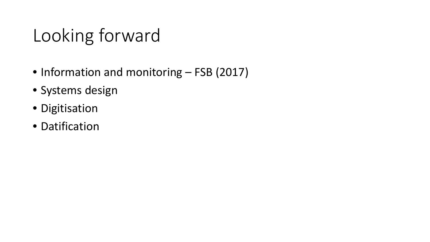# Looking forward

- Information and monitoring FSB (2017)
- Systems design
- Digitisation
- Datification